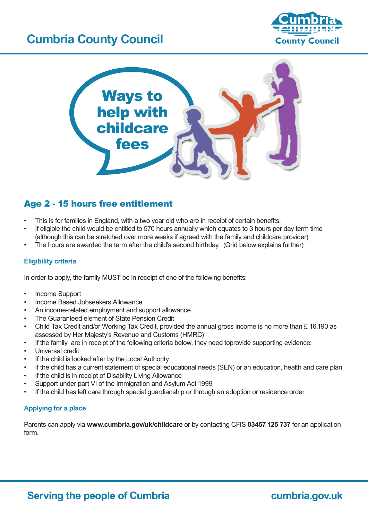# **Cumbria County Council**





## Age 2 - 15 hours free entitlement

- This is for families in England, with a two year old who are in receipt of certain benefits.
- If eligible the child would be entitled to 570 hours annually which equates to 3 hours per day term time (although this can be stretched over more weeks if agreed with the family and childcare provider).
- The hours are awarded the term after the child's second birthday. (Grid below explains further)

#### **Eligibility criteria**

In order to apply, the family MUST be in receipt of one of the following benefits:

- Income Support
- Income Based Jobseekers Allowance
- An income-related employment and support allowance
- The Guaranteed element of State Pension Credit
- Child Tax Credit and/or Working Tax Credit, provided the annual gross income is no more than £ 16,190 as assessed by Her Majesty's Revenue and Customs (HMRC)
- If the family are in receipt of the following criteria below, they need toprovide supporting evidence:
- Universal credit
- If the child is looked after by the Local Authority
- If the child has a current statement of special educational needs (SEN) or an education, health and care plan
- If the child is in receipt of Disability Living Allowance
- Support under part VI of the Immigration and Asylum Act 1999
- If the child has left care through special guardianship or through an adoption or residence order

#### **Applying for a place**

Parents can apply via **www.cumbria.gov/uk/childcare** or by contacting CFIS **03457 125 737** for an application form.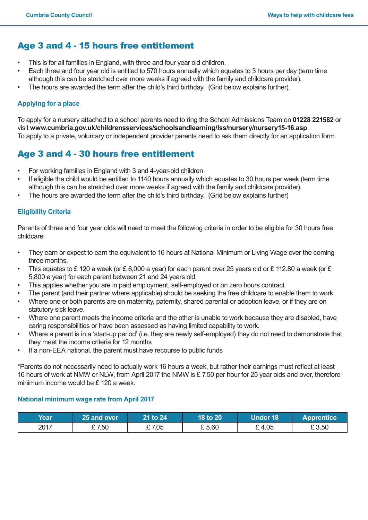## Age 3 and 4 - 15 hours free entitlement

- This is for all families in England, with three and four year old children.
- Each three and four year old is entitled to 570 hours annually which equates to 3 hours per day (term time although this can be stretched over more weeks if agreed with the family and childcare provider).
- The hours are awarded the term after the child's third birthday. (Grid below explains further).

### **Applying for a place**

To apply for a nursery attached to a school parents need to ring the School Admissions Team on **01228 221582** or visit **www.cumbria.gov.uk/childrensservices/schoolsandlearning/lss/nursery/nursery15-16.asp** To apply to a private, voluntary or independent provider parents need to ask them directly for an application form.

## Age 3 and 4 - 30 hours free entitlement

- For working families in England with 3 and 4-year-old children
- If eligible the child would be entitled to 1140 hours annually which equates to 30 hours per week (term time although this can be stretched over more weeks if agreed with the family and childcare provider).
- The hours are awarded the term after the child's third birthday. (Grid below explains further)

### **Eligibility Criteria**

Parents of three and four year olds will need to meet the following criteria in order to be eligible for 30 hours free childcare:

- They earn or expect to earn the equivalent to 16 hours at National Minimum or Living Wage over the coming three months.
- This equates to £ 120 a week (or £ 6,000 a year) for each parent over 25 years old or £ 112.80 a week (or £ 5,800 a year) for each parent between 21 and 24 years old.
- This applies whether you are in paid employment, self-employed or on zero hours contract.
- The parent (and their partner where applicable) should be seeking the free childcare to enable them to work.
- Where one or both parents are on maternity, paternity, shared parental or adoption leave, or if they are on statutory sick leave.
- Where one parent meets the income criteria and the other is unable to work because they are disabled, have caring responsibilities or have been assessed as having limited capability to work.
- Where a parent is in a 'start-up period' (i.e. they are newly self-employed) they do not need to demonstrate that they meet the income criteria for 12 months
- If a non-EEA national. the parent must have recourse to public funds

\*Parents do not necessarily need to actually work 16 hours a week, but rather their earnings must reflect at least 16 hours of work at NMW or NLW, from April 2017 the NMW is £ 7.50 per hour for 25 year olds and over, therefore minimum income would be £120 a week.

### **National minimum wage rate from April 2017**

| Year | 25 and over <b>\</b> | 21 to 24' | 18 to 20 | Under 18 | <b>Apprentice</b> |
|------|----------------------|-----------|----------|----------|-------------------|
| 2017 | € 7.50               | $E$ 7.05  | £ 5.60   | £4.05    | £3.50             |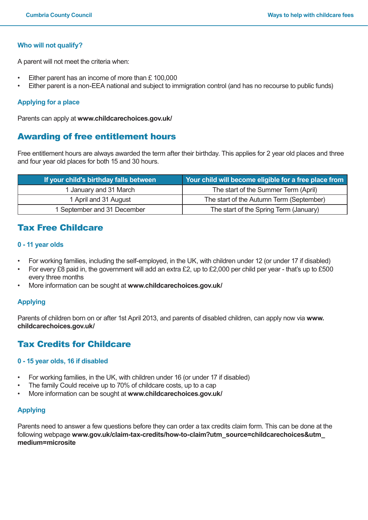#### **Who will not qualify?**

A parent will not meet the criteria when:

- Either parent has an income of more than  $£ 100,000$
- Either parent is a non-EEA national and subject to immigration control (and has no recourse to public funds)

#### **Applying for a place**

Parents can apply at **www.childcarechoices.gov.uk/**

### Awarding of free entitlement hours

Free entitlement hours are always awarded the term after their birthday. This applies for 2 year old places and three and four year old places for both 15 and 30 hours.

| If your child's birthday falls between | Your child will become eligible for a free place from |  |
|----------------------------------------|-------------------------------------------------------|--|
| 1 January and 31 March                 | The start of the Summer Term (April)                  |  |
| 1 April and 31 August                  | The start of the Autumn Term (September)              |  |
| 1 September and 31 December            | The start of the Spring Term (January)                |  |

### Tax Free Childcare

#### **0 - 11 year olds**

- For working families, including the self-employed, in the UK, with children under 12 (or under 17 if disabled)
- For every £8 paid in, the government will add an extra £2, up to £2,000 per child per year that's up to £500 every three months
- More information can be sought at www.childcarechoices.gov.uk/

#### **Applying**

Parents of children born on or after 1st April 2013, and parents of disabled children, can apply now via **www. childcarechoices.gov.uk/** 

### Tax Credits for Childcare

#### **0 - 15 year olds, 16 if disabled**

- For working families, in the UK, with children under 16 (or under 17 if disabled)
- The family Could receive up to 70% of childcare costs, up to a cap
- More information can be sought at **www.childcarechoices.gov.uk/**

### **Applying**

Parents need to answer a few questions before they can order a tax credits claim form. This can be done at the following webpage **www.gov.uk/claim-tax-credits/how-to-claim?utm\_source=childcarechoices&utm\_ medium=microsite**